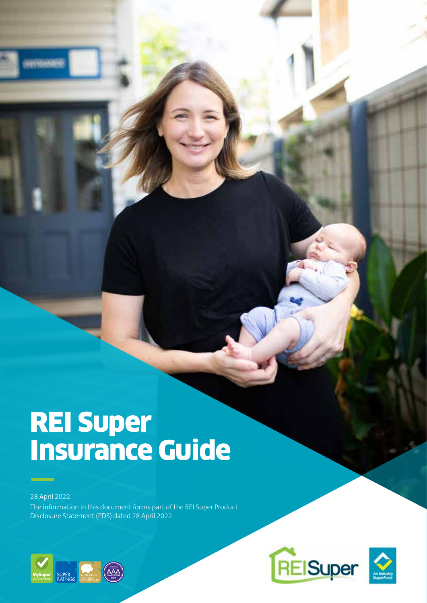# REI Super Insurance Guide

28 April 2022

The information in this document forms part of the REI Super Product Disclosure Statement (PDS) dated 28 April 2022.





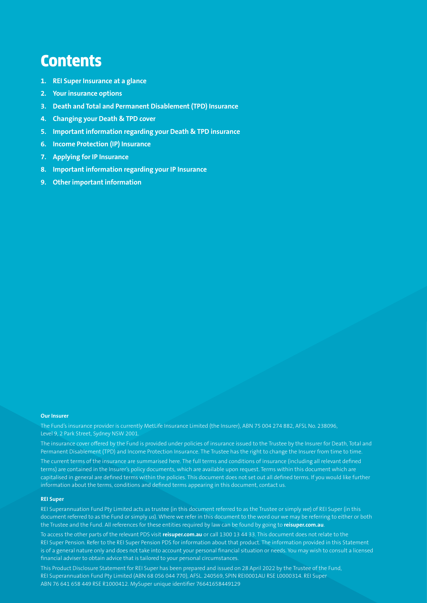# **Contents**

- **1. REI Super Insurance at a glance**
- **2. Your insurance options**
- **3. Death and Total and Permanent Disablement (TPD) Insurance**
- **4. Changing your Death & TPD cover**
- **5. Important information regarding your Death & TPD insurance**
- **6. Income Protection (IP) Insurance**
- **7. Applying for IP Insurance**
- **8. Important information regarding your IP Insurance**
- **9. Other important information**

#### **Our Insurer**

The Fund's insurance provider is currently MetLife Insurance Limited (the Insurer), ABN 75 004 274 882, AFSL No. 238096, Level 9, 2 Park Street, Sydney NSW 2001.

The insurance cover offered by the Fund is provided under policies of insurance issued to the Trustee by the Insurer for Death, Total and Permanent Disablement (TPD) and Income Protection Insurance. The Trustee has the right to change the Insurer from time to time. The current terms of the insurance are summarised here. The full terms and conditions of insurance (including all relevant defined

terms) are contained in the Insurer's policy documents, which are available upon request. Terms within this document which are capitalised in general are defined terms within the policies. This document does not set out all defined terms. If you would like further information about the terms, conditions and defined terms appearing in this document, contact us.

#### **REI Super**

REI Superannuation Fund Pty Limited acts as trustee (in this document referred to as the Trustee or simply we) of REI Super (in this document referred to as the Fund or simply us). Where we refer in this document to the word our we may be referring to either or both the Trustee and the Fund. All references for these entities required by law can be found by going to **reisuper.com.au**.

To access the other parts of the relevant PDS visit **reisuper.com.au** or call 1300 13 44 33. This document does not relate to the REI Super Pension. Refer to the REI Super Pension PDS for information about that product. The information provided in this Statement is of a general nature only and does not take into account your personal financial situation or needs. You may wish to consult a licensed financial adviser to obtain advice that is tailored to your personal circumstances.

This Product Disclosure Statement for REI Super has been prepared and issued on 28 April 2022 by the Trustee of the Fund, REI Superannuation Fund Pty Limited (ABN 68 056 044 770), AFSL. 240569, SPIN REI0001AU RSE L0000314. REI Super ABN 76 641 658 449 RSE R1000412. MySuper unique identifier 76641658449129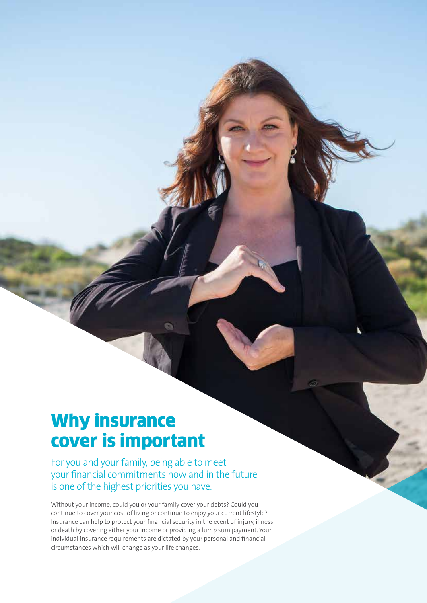# Why insurance cover is important

For you and your family, being able to meet your financial commitments now and in the future is one of the highest priorities you have.

Without your income, could you or your family cover your debts? Could you continue to cover your cost of living or continue to enjoy your current lifestyle? Insurance can help to protect your financial security in the event of injury, illness or death by covering either your income or providing a lump sum payment. Your individual insurance requirements are dictated by your personal and financial circumstances which will change as your life changes.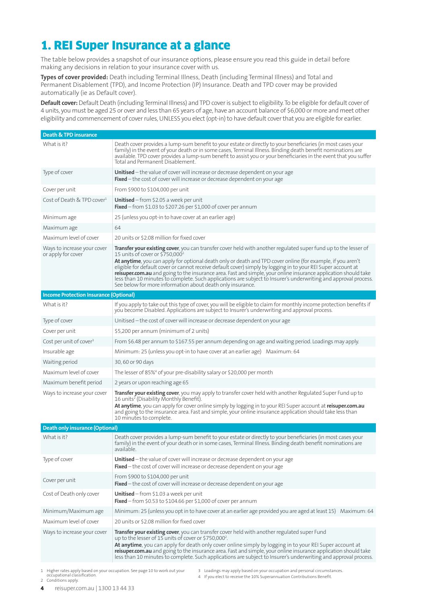# 1. REI Super Insurance at a glance

The table below provides a snapshot of our insurance options, please ensure you read this guide in detail before making any decisions in relation to your insurance cover with us.

**Types of cover provided:** Death including Terminal Illness, Death (including Terminal Illness) and Total and Permanent Disablement (TPD), and Income Protection (IP) Insurance. Death and TPD cover may be provided automatically (ie as Default cover).

**Default cover:** Default Death (including Terminal Illness) and TPD cover is subject to eligibility. To be eligible for default cover of 4 units, you must be aged 25 or over and less than 65 years of age, have an account balance of \$6,000 or more and meet other eligibility and commencement of cover rules, UNLESS you elect (opt-in) to have default cover that you are eligible for earlier.

| Death & TPD insurance                             |                                                                                                                                                                                                                                                                                                                                                                                                                                                                                                                                                                                                                                                                                                    |  |  |  |  |  |
|---------------------------------------------------|----------------------------------------------------------------------------------------------------------------------------------------------------------------------------------------------------------------------------------------------------------------------------------------------------------------------------------------------------------------------------------------------------------------------------------------------------------------------------------------------------------------------------------------------------------------------------------------------------------------------------------------------------------------------------------------------------|--|--|--|--|--|
| What is it?                                       | Death cover provides a lump-sum benefit to your estate or directly to your beneficiaries (in most cases your<br>family) in the event of your death or in some cases, Terminal Illness. Binding death benefit nominations are<br>available. TPD cover provides a lump-sum benefit to assist you or your beneficiaries in the event that you suffer<br>Total and Permanent Disablement.                                                                                                                                                                                                                                                                                                              |  |  |  |  |  |
| Type of cover                                     | <b>Unitised</b> – the value of cover will increase or decrease dependent on your age<br>Fixed - the cost of cover will increase or decrease dependent on your age                                                                                                                                                                                                                                                                                                                                                                                                                                                                                                                                  |  |  |  |  |  |
| Cover per unit                                    | From \$900 to \$104,000 per unit                                                                                                                                                                                                                                                                                                                                                                                                                                                                                                                                                                                                                                                                   |  |  |  |  |  |
| Cost of Death & TPD cover <sup>1</sup>            | <b>Unitised</b> – from \$2.05 a week per unit<br>Fixed - from \$1.03 to \$207.26 per \$1,000 of cover per annum                                                                                                                                                                                                                                                                                                                                                                                                                                                                                                                                                                                    |  |  |  |  |  |
| Minimum age                                       | 25 (unless you opt-in to have cover at an earlier age)                                                                                                                                                                                                                                                                                                                                                                                                                                                                                                                                                                                                                                             |  |  |  |  |  |
| Maximum age                                       | 64                                                                                                                                                                                                                                                                                                                                                                                                                                                                                                                                                                                                                                                                                                 |  |  |  |  |  |
| Maximum level of cover                            | 20 units or \$2.08 million for fixed cover                                                                                                                                                                                                                                                                                                                                                                                                                                                                                                                                                                                                                                                         |  |  |  |  |  |
| Ways to increase your cover<br>or apply for cover | Transfer your existing cover, you can transfer cover held with another regulated super fund up to the lesser of<br>15 units of cover or \$750,000 <sup>2</sup><br>At anytime, you can apply for optional death only or death and TPD cover online (for example, if you aren't<br>eligible for default cover or cannot receive default cover) simply by logging in to your REI Super account at<br>reisuper.com.au and going to the insurance area. Fast and simple, your online insurance application should take<br>less than 10 minutes to complete. Such applications are subject to Insurer's underwriting and approval process.<br>See below for more information about death only insurance. |  |  |  |  |  |
| <b>Income Protection Insurance (Optional)</b>     |                                                                                                                                                                                                                                                                                                                                                                                                                                                                                                                                                                                                                                                                                                    |  |  |  |  |  |
| What is it?                                       | If you apply to take out this type of cover, you will be eligible to claim for monthly income protection benefits if<br>you become Disabled. Applications are subject to Insurer's underwriting and approval process.                                                                                                                                                                                                                                                                                                                                                                                                                                                                              |  |  |  |  |  |
| Type of cover                                     | Unitised – the cost of cover will increase or decrease dependent on your age                                                                                                                                                                                                                                                                                                                                                                                                                                                                                                                                                                                                                       |  |  |  |  |  |
| Cover per unit                                    | \$5,200 per annum (minimum of 2 units)                                                                                                                                                                                                                                                                                                                                                                                                                                                                                                                                                                                                                                                             |  |  |  |  |  |
| Cost per unit of cover <sup>3</sup>               | From \$6.48 per annum to \$167.55 per annum depending on age and waiting period. Loadings may apply.                                                                                                                                                                                                                                                                                                                                                                                                                                                                                                                                                                                               |  |  |  |  |  |
| Insurable age                                     | Minimum: 25 (unless you opt-in to have cover at an earlier age) Maximum: 64                                                                                                                                                                                                                                                                                                                                                                                                                                                                                                                                                                                                                        |  |  |  |  |  |
| Waiting period                                    | 30, 60 or 90 days                                                                                                                                                                                                                                                                                                                                                                                                                                                                                                                                                                                                                                                                                  |  |  |  |  |  |
| Maximum level of cover                            | The lesser of 85% <sup>4</sup> of your pre-disability salary or \$20,000 per month                                                                                                                                                                                                                                                                                                                                                                                                                                                                                                                                                                                                                 |  |  |  |  |  |
| Maximum benefit period                            | 2 years or upon reaching age 65                                                                                                                                                                                                                                                                                                                                                                                                                                                                                                                                                                                                                                                                    |  |  |  |  |  |
| Ways to increase your cover                       | Transfer your existing cover, you may apply to transfer cover held with another Regulated Super Fund up to<br>16 units <sup>2</sup> (Disability Monthly Benefit).<br>At anytime, you can apply for cover online simply by logging in to your REI Super account at reisuper.com.au<br>and going to the insurance area. Fast and simple, your online insurance application should take less than<br>10 minutes to complete.                                                                                                                                                                                                                                                                          |  |  |  |  |  |
| <b>Death only insurance (Optional)</b>            |                                                                                                                                                                                                                                                                                                                                                                                                                                                                                                                                                                                                                                                                                                    |  |  |  |  |  |
| What is it?                                       | Death cover provides a lump-sum benefit to your estate or directly to your beneficiaries (in most cases your<br>family) in the event of your death or in some cases, Terminal Illness. Binding death benefit nominations are<br>available.                                                                                                                                                                                                                                                                                                                                                                                                                                                         |  |  |  |  |  |
| Type of cover                                     | Unitised - the value of cover will increase or decrease dependent on your age<br>Fixed - the cost of cover will increase or decrease dependent on your age                                                                                                                                                                                                                                                                                                                                                                                                                                                                                                                                         |  |  |  |  |  |
| Cover per unit                                    | From \$900 to \$104,000 per unit<br>Fixed - the cost of cover will increase or decrease dependent on your age                                                                                                                                                                                                                                                                                                                                                                                                                                                                                                                                                                                      |  |  |  |  |  |
| Cost of Death only cover                          | <b>Unitised</b> – from \$1.03 a week per unit<br><b>Fixed</b> – from \$0.53 to \$104.66 per \$1,000 of cover per annum                                                                                                                                                                                                                                                                                                                                                                                                                                                                                                                                                                             |  |  |  |  |  |
| Minimum/Maximum age                               | Minimum: 25 (unless you opt in to have cover at an earlier age provided you are aged at least 15) Maximum: 64                                                                                                                                                                                                                                                                                                                                                                                                                                                                                                                                                                                      |  |  |  |  |  |
| Maximum level of cover                            | 20 units or \$2.08 million for fixed cover                                                                                                                                                                                                                                                                                                                                                                                                                                                                                                                                                                                                                                                         |  |  |  |  |  |
| Ways to increase your cover                       | <b>Transfer your existing cover</b> , you can transfer cover held with another regulated super Fund<br>up to the lesser of 15 units of cover or \$750,000 <sup>2</sup> .<br><b>At anytime</b> , you can apply for death only cover online simply by logging in to your REI Super account at<br>reisuper.com.au and going to the insurance area. Fast and simple, your online insurance application should take<br>less than 10 minutes to complete. Such applications are subject to Insurer's underwriting and approval process.                                                                                                                                                                  |  |  |  |  |  |

1 Higher rates apply based on your occupation. See page 10 to work out your occupational classification. 2 Conditions apply.

3 Loadings may apply based on your occupation and personal circumstances. 4 If you elect to receive the 10% Superannuation Contributions Benefit.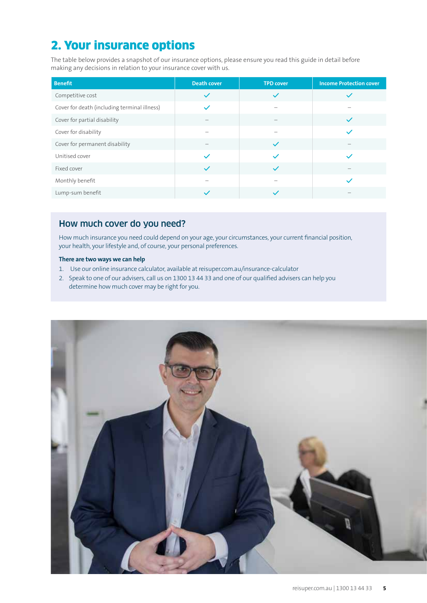# 2. Your insurance options

The table below provides a snapshot of our insurance options, please ensure you read this guide in detail before making any decisions in relation to your insurance cover with us.

| <b>Benefit</b>                               | <b>Death cover</b> | <b>TPD cover</b> | <b>Income Protection cover</b> |
|----------------------------------------------|--------------------|------------------|--------------------------------|
| Competitive cost                             | $\checkmark$       | $\checkmark$     | $\checkmark$                   |
| Cover for death (including terminal illness) | $\checkmark$       |                  |                                |
| Cover for partial disability                 |                    |                  | $\checkmark$                   |
| Cover for disability                         |                    |                  | $\overline{\phantom{a}}$       |
| Cover for permanent disability               |                    | $\checkmark$     |                                |
| Unitised cover                               | $\checkmark$       |                  | $\checkmark$                   |
| Fixed cover                                  | $\checkmark$       | $\checkmark$     |                                |
| Monthly benefit                              |                    |                  | $\checkmark$                   |
| Lump-sum benefit                             | $\checkmark$       |                  |                                |

### How much cover do you need?

How much insurance you need could depend on your age, your circumstances, your current financial position, your health, your lifestyle and, of course, your personal preferences.

#### **There are two ways we can help**

- 1. Use our online insurance calculator, available at reisuper.com.au/insurance-calculator
- 2. Speak to one of our advisers, call us on 1300 13 44 33 and one of our qualified advisers can help you determine how much cover may be right for you.

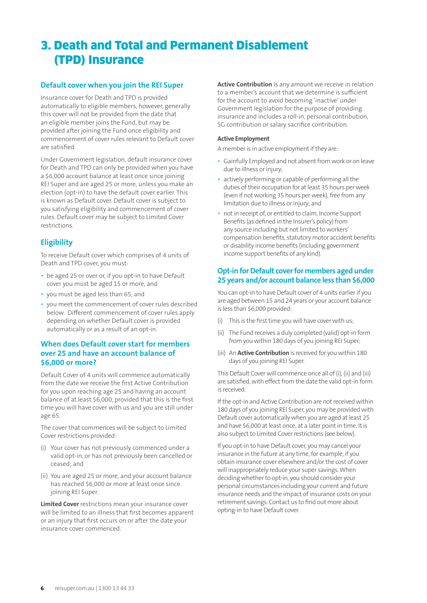# 3. Death and Total and Permanent Disablement (TPD) Insurance

#### **Default cover when you join the REI Super**

Insurance cover for Death and TPD is provided automatically to eligible members, however, generally this cover will not be provided from the date that an eligible member joins the Fund, but may be provided after joining the Fund once eligibility and commencement of cover rules relevant to Default cover are satisfied.

Under Government legislation, default insurance cover for Death and TPD can only be provided when you have a \$6,000 account balance at least once since joining REI Super and are aged 25 or more, unless you make an election (opt-in) to have the default cover earlier. This is known as Default cover. Default cover is subject to you satisfying eligibility and commencement of cover rules. Default cover may be subject to Limited Cover restrictions.

### **Eligibility**

To receive Default cover which comprises of 4 units of Death and TPD cover, you must:

- be aged 25 or over or, if you opt-in to have Default cover you must be aged 15 or more, and
- you must be aged less than 65, and
- you meet the commencement of cover rules described below. Different commencement of cover rules apply depending on whether Default cover is provided automatically or as a result of an opt-in.

#### **When does Default cover start for members over 25 and have an account balance of \$6,000 or more?**

Default Cover of 4 units will commence automatically from the date we receive the first Active Contribution for you upon reaching age 25 and having an account balance of at least \$6,000, provided that this is the first time you will have cover with us and you are still under age 65.

The cover that commences will be subject to Limited Cover restrictions provided:

- (i) Your cover has not previously commenced under a valid opt-in, or has not previously been cancelled or ceased; and
- (ii) You are aged 25 or more, and your account balance has reached \$6,000 or more at least once since joining REI Super.

**Limited Cover** restrictions mean your insurance cover will be limited to an illness that first becomes apparent or an injury that first occurs on or after the date your insurance cover commenced.

**Active Contribution** is any amount we receive in relation to a member's account that we determine is sufficient for the account to avoid becoming 'inactive' under Government legislation for the purpose of providing insurance and includes a roll-in, personal contribution, SG contribution or salary sacrifice contribution.

#### **Active Employment**

A member is in active employment if they are:

- Gainfully Employed and not absent from work or on leave due to illness or injury;
- actively performing or capable of performing all the duties of their occupation for at least 35 hours per week (even if not working 35 hours per week), free from any limitation due to illness or injury; and
- not in receipt of, or entitled to claim, Income Support Benefits (as defined in the Insurer's policy) from any source including but not limited to workers' compensation benefits, statutory motor accident benefits or disability income benefits (including government income support benefits of any kind).

#### **Opt-in for Default cover for members aged under 25 years and/or account balance less than \$6,000**

You can opt-in to have Default cover of 4 units earlier if you are aged between 15 and 24 years or your account balance is less than \$6,000 provided:

- This is the first time you will have cover with us;
- (ii) The Fund receives a duly completed (valid) opt-in form from you within 180 days of you joining REI Super;
- (iii) An **Active Contribution** is received for you within 180 days of you joining REI Super.

This Default Cover will commence once all of (i), (ii) and (iii) are satisfied, with effect from the date the valid opt-in form is received.

If the opt-in and Active Contribution are not received within 180 days of you joining REI Super, you may be provided with Default cover automatically when you are aged at least 25 and have \$6,000 at least once, at a later point in time. It is also subject to Limited Cover restrictions (see below).

If you opt-in to have Default cover, you may cancel your insurance in the future at any time, for example, if you obtain insurance cover elsewhere and/or the cost of cover will inappropriately reduce your super savings. When deciding whether to opt-in, you should consider your personal circumstances including your current and future insurance needs and the impact of insurance costs on your retirement savings. Contact us to find out more about opting-in to have Default cover.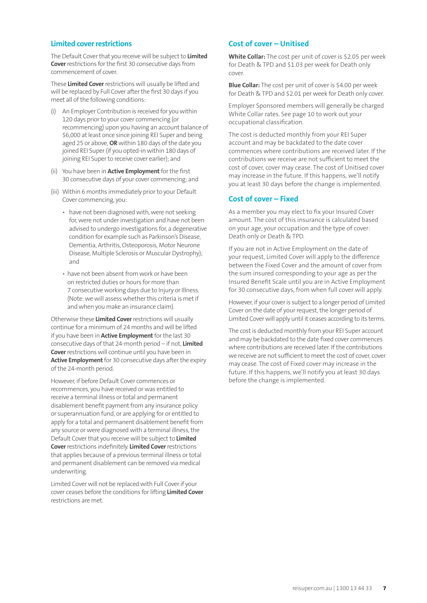#### **Limited cover restrictions**

The Default Cover that you receive will be subject to **Limited Cover** restrictions for the first 30 consecutive days from commencement of cover.

These **Limited Cover** restrictions will usually be lifted and will be replaced by Full Cover after the first 30 days if you meet all of the following conditions:

- An Employer Contribution is received for you within 120 days prior to your cover commencing (or recommencing) upon you having an account balance of \$6,000 at least once since joining REI Super and being aged 25 or above, **OR** within 180 days of the date you joined REI Super (if you opted-in within 180 days of joining REI Super to receive cover earlier); and
- (ii) You have been in **Active Employment** for the first 30 consecutive days of your cover commencing; and
- (iii) Within 6 months immediately prior to your Default Cover commencing, you:
	- have not been diagnosed with, were not seeking for, were not under investigation and have not been advised to undergo investigations for, a degenerative condition for example such as Parkinson's Disease, Dementia, Arthritis, Osteoporosis, Motor Neurone Disease, Multiple Sclerosis or Muscular Dystrophy); and
	- have not been absent from work or have been on restricted duties or hours for more than 7 consecutive working days due to Injury or Illness. (Note: we will assess whether this criteria is met if and when you make an insurance claim).

Otherwise these **Limited Cover** restrictions will usually continue for a minimum of 24 months and will be lifted if you have been in **Active Employment** for the last 30 consecutive days of that 24-month period – if not, **Limited Cover** restrictions will continue until you have been in **Active Employment** for 30 consecutive days after the expiry of the 24-month period.

However, if before Default Cover commences or recommences, you have received or was entitled to receive a terminal illness or total and permanent disablement benefit payment from any insurance policy or superannuation fund, or are applying for or entitled to apply for a total and permanent disablement benefit from any source or were diagnosed with a terminal illness, the Default Cover that you receive will be subject to **Limited Cover** restrictions indefinitely. **Limited Cover** restrictions that applies because of a previous terminal illness or total and permanent disablement can be removed via medical underwriting.

Limited Cover will not be replaced with Full Cover if your cover ceases before the conditions for lifting **Limited Cover** restrictions are met.

### **Cost of cover – Unitised**

**White Collar:** The cost per unit of cover is \$2.05 per week for Death & TPD and \$1.03 per week for Death only cover.

**Blue Collar:** The cost per unit of cover is \$4.00 per week for Death & TPD and \$2.01 per week for Death only cover.

Employer Sponsored members will generally be charged White Collar rates. See page 10 to work out your occupational classification.

The cost is deducted monthly from your REI Super account and may be backdated to the date cover commences where contributions are received later. If the contributions we receive are not sufficient to meet the cost of cover, cover may cease. The cost of Unitised cover may increase in the future. If this happens, we'll notify you at least 30 days before the change is implemented.

#### **Cost of cover – Fixed**

As a member you may elect to fix your Insured Cover amount. The cost of this insurance is calculated based on your age, your occupation and the type of cover: Death only or Death & TPD.

If you are not in Active Employment on the date of your request, Limited Cover will apply to the difference between the Fixed Cover and the amount of cover from the sum insured corresponding to your age as per the Insured Benefit Scale until you are in Active Employment for 30 consecutive days, from when full cover will apply.

However, if your cover is subject to a longer period of Limited Cover on the date of your request, the longer period of Limited Cover will apply until it ceases according to its terms.

The cost is deducted monthly from your REI Super account and may be backdated to the date fixed cover commences where contributions are received later. If the contributions we receive are not sufficient to meet the cost of cover, cover may cease. The cost of Fixed cover may increase in the future. If this happens, we'll notify you at least 30 days before the change is implemented.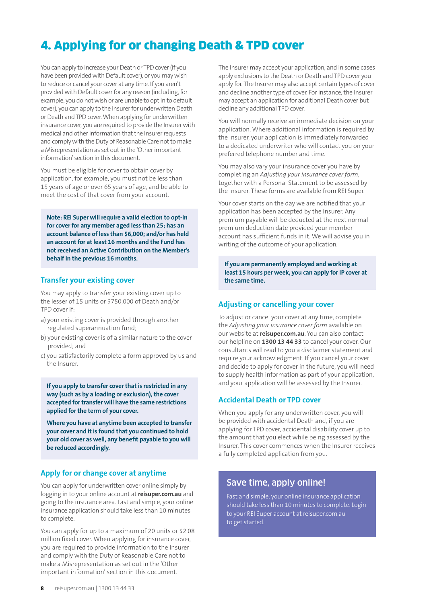# 4. Applying for or changing Death & TPD cover

You can apply to increase your Death or TPD cover (if you have been provided with Default cover), or you may wish to reduce or cancel your cover at any time. If you aren't provided with Default cover for any reason (including, for example, you do not wish or are unable to opt in to default cover), you can apply to the Insurer for underwritten Death or Death and TPD cover. When applying for underwritten insurance cover, you are required to provide the Insurer with medical and other information that the Insurer requests and comply with the Duty of Reasonable Care not to make a Misrepresentation as set out in the 'Other important information' section in this document.

You must be eligible for cover to obtain cover by application, for example, you must not be less than 15 years of age or over 65 years of age, and be able to meet the cost of that cover from your account.

**Note: REI Super will require a valid election to opt-in for cover for any member aged less than 25; has an account balance of less than \$6,000; and/or has held an account for at least 16 months and the Fund has not received an Active Contribution on the Member's behalf in the previous 16 months.**

#### **Transfer your existing cover**

You may apply to transfer your existing cover up to the lesser of 15 units or \$750,000 of Death and/or TPD cover if:

- a) your existing cover is provided through another regulated superannuation fund;
- b) your existing cover is of a similar nature to the cover provided; and
- c) you satisfactorily complete a form approved by us and the Insurer.

**If you apply to transfer cover that is restricted in any way (such as by a loading or exclusion), the cover accepted for transfer will have the same restrictions applied for the term of your cover.**

**Where you have at anytime been accepted to transfer your cover and it is found that you continued to hold your old cover as well, any benefit payable to you will be reduced accordingly.**

### **Apply for or change cover at anytime**

You can apply for underwritten cover online simply by logging in to your online account at **reisuper.com.au** and going to the insurance area. Fast and simple, your online insurance application should take less than 10 minutes to complete.

You can apply for up to a maximum of 20 units or \$2.08 million fixed cover. When applying for insurance cover, you are required to provide information to the Insurer and comply with the Duty of Reasonable Care not to make a Misrepresentation as set out in the 'Other important information' section in this document.

The Insurer may accept your application, and in some cases apply exclusions to the Death or Death and TPD cover you apply for. The Insurer may also accept certain types of cover and decline another type of cover. For instance, the Insurer may accept an application for additional Death cover but decline any additional TPD cover.

You will normally receive an immediate decision on your application. Where additional information is required by the Insurer, your application is immediately forwarded to a dedicated underwriter who will contact you on your preferred telephone number and time.

You may also vary your insurance cover you have by completing an *Adjusting your insurance cover form*, together with a Personal Statement to be assessed by the Insurer. These forms are available from REI Super.

Your cover starts on the day we are notified that your application has been accepted by the Insurer. Any premium payable will be deducted at the next normal premium deduction date provided your member account has sufficient funds in it. We will advise you in writing of the outcome of your application.

**If you are permanently employed and working at least 15 hours per week, you can apply for IP cover at the same time.**

### **Adjusting or cancelling your cover**

To adjust or cancel your cover at any time, complete the *Adjusting your insurance cover form* available on our website at **reisuper.com.au**. You can also contact our helpline on **1300 13 44 33** to cancel your cover. Our consultants will read to you a disclaimer statement and require your acknowledgment. If you cancel your cover and decide to apply for cover in the future, you will need to supply health information as part of your application, and your application will be assessed by the Insurer.

#### **Accidental Death or TPD cover**

When you apply for any underwritten cover, you will be provided with accidental Death and, if you are applying for TPD cover, accidental disability cover up to the amount that you elect while being assessed by the Insurer. This cover commences when the Insurer receives a fully completed application from you.

### Save time, apply online!

Fast and simple, your online insurance application should take less than 10 minutes to complete. Login to your REI Super account at reisuper.com.au to get started.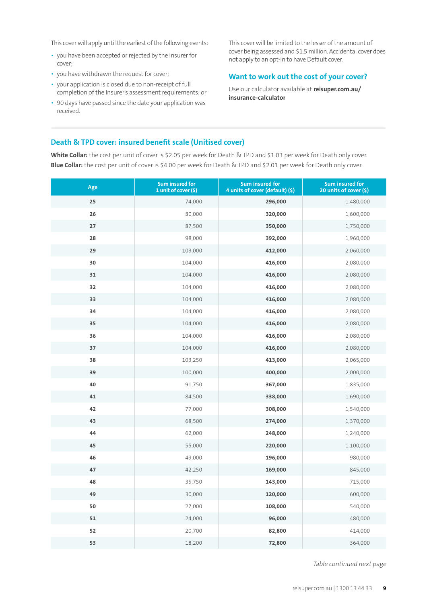This cover will apply until the earliest of the following events:

- you have been accepted or rejected by the Insurer for cover;
- you have withdrawn the request for cover;
- your application is closed due to non-receipt of full completion of the Insurer's assessment requirements; or
- 90 days have passed since the date your application was received.

This cover will be limited to the lesser of the amount of cover being assessed and \$1.5 million. Accidental cover does not apply to an opt-in to have Default cover.

#### **Want to work out the cost of your cover?**

Use our calculator available at **reisuper.com.au/ insurance-calculator**

### **Death & TPD cover: insured benefit scale (Unitised cover)**

**White Collar:** the cost per unit of cover is \$2.05 per week for Death & TPD and \$1.03 per week for Death only cover. **Blue Collar:** the cost per unit of cover is \$4.00 per week for Death & TPD and \$2.01 per week for Death only cover.

| Age | <b>Sum insured for</b><br>1 unit of cover (\$) | <b>Sum insured for</b><br>4 units of cover (default) (\$) | <b>Sum insured for</b><br>20 units of cover (\$) |
|-----|------------------------------------------------|-----------------------------------------------------------|--------------------------------------------------|
| 25  | 74,000                                         | 296,000                                                   | 1,480,000                                        |
| 26  | 80,000                                         | 320,000                                                   | 1,600,000                                        |
| 27  | 87,500                                         | 350,000                                                   | 1,750,000                                        |
| 28  | 98,000                                         | 392,000                                                   | 1,960,000                                        |
| 29  | 103,000                                        | 412,000                                                   | 2,060,000                                        |
| 30  | 104,000                                        | 416,000                                                   | 2,080,000                                        |
| 31  | 104,000                                        | 416,000                                                   | 2,080,000                                        |
| 32  | 104,000                                        | 416,000                                                   | 2,080,000                                        |
| 33  | 104,000                                        | 416,000                                                   | 2,080,000                                        |
| 34  | 104,000                                        | 416,000                                                   | 2,080,000                                        |
| 35  | 104,000                                        | 416,000                                                   | 2,080,000                                        |
| 36  | 104,000                                        | 416,000                                                   | 2,080,000                                        |
| 37  | 104,000                                        | 416,000                                                   | 2,080,000                                        |
| 38  | 103,250                                        | 413,000                                                   | 2,065,000                                        |
| 39  | 100,000                                        | 400,000                                                   | 2,000,000                                        |
| 40  | 91,750                                         | 367,000                                                   | 1,835,000                                        |
| 41  | 84,500                                         | 338,000                                                   | 1,690,000                                        |
| 42  | 77,000                                         | 308,000                                                   | 1,540,000                                        |
| 43  | 68,500                                         | 274,000                                                   | 1,370,000                                        |
| 44  | 62,000                                         | 248,000                                                   | 1,240,000                                        |
| 45  | 55,000                                         | 220,000                                                   | 1,100,000                                        |
| 46  | 49,000                                         | 196,000                                                   | 980,000                                          |
| 47  | 42,250                                         | 169,000                                                   | 845,000                                          |
| 48  | 35,750                                         | 143,000                                                   | 715,000                                          |
| 49  | 30,000                                         | 120,000                                                   | 600,000                                          |
| 50  | 27,000                                         | 108,000                                                   | 540,000                                          |
| 51  | 24,000                                         | 96,000                                                    | 480,000                                          |
| 52  | 20,700                                         | 82,800                                                    | 414,000                                          |
| 53  | 18,200                                         | 72,800                                                    | 364,000                                          |

Table continued next page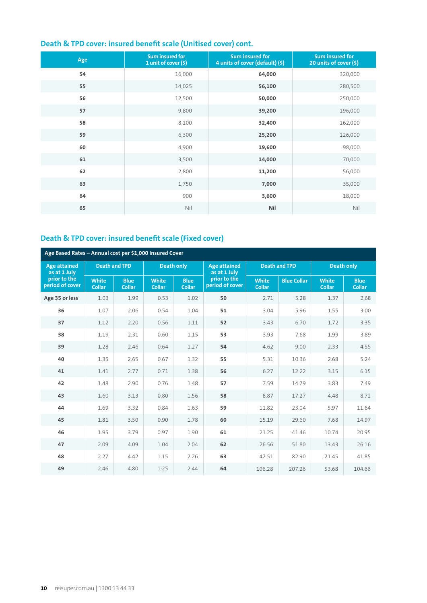| Age | <b>Sum insured for</b><br>1 unit of cover (\$) | <b>Sum insured for</b><br>4 units of cover (default) (\$) | <b>Sum insured for</b><br>20 units of cover (\$) |
|-----|------------------------------------------------|-----------------------------------------------------------|--------------------------------------------------|
| 54  | 16,000                                         | 64,000                                                    | 320,000                                          |
| 55  | 14,025                                         | 56,100                                                    | 280,500                                          |
| 56  | 12,500                                         | 50,000                                                    | 250,000                                          |
| 57  | 9,800                                          | 39,200                                                    | 196,000                                          |
| 58  | 8,100                                          | 32,400                                                    | 162,000                                          |
| 59  | 6,300                                          | 25,200                                                    | 126,000                                          |
| 60  | 4,900                                          | 19,600                                                    | 98,000                                           |
| 61  | 3,500                                          | 14,000                                                    | 70,000                                           |
| 62  | 2,800                                          | 11,200                                                    | 56,000                                           |
| 63  | 1,750                                          | 7,000                                                     | 35,000                                           |
| 64  | 900                                            | 3,600                                                     | 18,000                                           |
| 65  | Nil                                            | Nil                                                       | Nil                                              |

## **Death & TPD cover: insured benefit scale (Unitised cover) cont.**

## **Death & TPD cover: insured benefit scale (Fixed cover)**

| Age Based Rates - Annual cost per \$1,000 Insured Cover |                               |                              |                               |                              |                                     |                               |                    |                               |                              |
|---------------------------------------------------------|-------------------------------|------------------------------|-------------------------------|------------------------------|-------------------------------------|-------------------------------|--------------------|-------------------------------|------------------------------|
| <b>Age attained</b><br>as at 1 July                     | <b>Death and TPD</b>          |                              | <b>Death only</b>             |                              | <b>Age attained</b><br>as at 1 July | <b>Death and TPD</b>          |                    | <b>Death only</b>             |                              |
| prior to the<br>period of cover                         | <b>White</b><br><b>Collar</b> | <b>Blue</b><br><b>Collar</b> | <b>White</b><br><b>Collar</b> | <b>Blue</b><br><b>Collar</b> | prior to the<br>period of cover     | <b>White</b><br><b>Collar</b> | <b>Blue Collar</b> | <b>White</b><br><b>Collar</b> | <b>Blue</b><br><b>Collar</b> |
| Age 35 or less                                          | 1.03                          | 1.99                         | 0.53                          | 1.02                         | 50                                  | 2.71                          | 5.28               | 1.37                          | 2.68                         |
| 36                                                      | 1.07                          | 2.06                         | 0.54                          | 1.04                         | 51                                  | 3.04                          | 5.96               | 1.55                          | 3.00                         |
| 37                                                      | 1.12                          | 2.20                         | 0.56                          | 1.11                         | 52                                  | 3.43                          | 6.70               | 1.72                          | 3.35                         |
| 38                                                      | 1.19                          | 2.31                         | 0.60                          | 1.15                         | 53                                  | 3.93                          | 7.68               | 1.99                          | 3.89                         |
| 39                                                      | 1.28                          | 2.46                         | 0.64                          | 1.27                         | 54                                  | 4.62                          | 9.00               | 2.33                          | 4.55                         |
| 40                                                      | 1.35                          | 2.65                         | 0.67                          | 1.32                         | 55                                  | 5.31                          | 10.36              | 2.68                          | 5.24                         |
| 41                                                      | 1.41                          | 2.77                         | 0.71                          | 1.38                         | 56                                  | 6.27                          | 12.22              | 3.15                          | 6.15                         |
| 42                                                      | 1.48                          | 2.90                         | 0.76                          | 1.48                         | 57                                  | 7.59                          | 14.79              | 3.83                          | 7.49                         |
| 43                                                      | 1.60                          | 3.13                         | 0.80                          | 1.56                         | 58                                  | 8.87                          | 17.27              | 4.48                          | 8.72                         |
| 44                                                      | 1.69                          | 3.32                         | 0.84                          | 1.63                         | 59                                  | 11.82                         | 23.04              | 5.97                          | 11.64                        |
| 45                                                      | 1.81                          | 3.50                         | 0.90                          | 1.78                         | 60                                  | 15.19                         | 29.60              | 7.68                          | 14.97                        |
| 46                                                      | 1.95                          | 3.79                         | 0.97                          | 1.90                         | 61                                  | 21.25                         | 41.46              | 10.74                         | 20.95                        |
| 47                                                      | 2.09                          | 4.09                         | 1.04                          | 2.04                         | 62                                  | 26.56                         | 51.80              | 13.43                         | 26.16                        |
| 48                                                      | 2.27                          | 4.42                         | 1.15                          | 2.26                         | 63                                  | 42.51                         | 82.90              | 21.45                         | 41.85                        |
| 49                                                      | 2.46                          | 4.80                         | 1.25                          | 2.44                         | 64                                  | 106.28                        | 207.26             | 53.68                         | 104.66                       |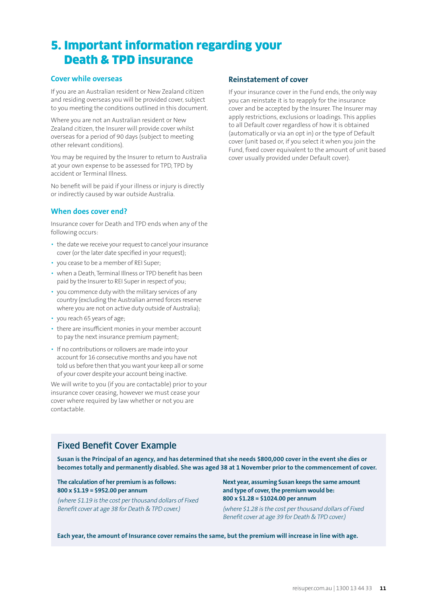# 5. Important information regarding your Death & TPD insurance

#### **Cover while overseas**

If you are an Australian resident or New Zealand citizen and residing overseas you will be provided cover, subject to you meeting the conditions outlined in this document.

Where you are not an Australian resident or New Zealand citizen, the Insurer will provide cover whilst overseas for a period of 90 days (subject to meeting other relevant conditions).

You may be required by the Insurer to return to Australia at your own expense to be assessed for TPD, TPD by accident or Terminal Illness.

No benefit will be paid if your illness or injury is directly or indirectly caused by war outside Australia.

#### **When does cover end?**

Insurance cover for Death and TPD ends when any of the following occurs:

- the date we receive your request to cancel your insurance cover (or the later date specified in your request);
- you cease to be a member of REI Super;
- when a Death, Terminal Illness or TPD benefit has been paid by the Insurer to REI Super in respect of you;
- you commence duty with the military services of any country (excluding the Australian armed forces reserve where you are not on active duty outside of Australia);
- you reach 65 years of age;
- there are insufficient monies in your member account to pay the next insurance premium payment;
- If no contributions or rollovers are made into your account for 16 consecutive months and you have not told us before then that you want your keep all or some of your cover despite your account being inactive.

We will write to you (if you are contactable) prior to your insurance cover ceasing, however we must cease your cover where required by law whether or not you are contactable.

#### **Reinstatement of cover**

If your insurance cover in the Fund ends, the only way you can reinstate it is to reapply for the insurance cover and be accepted by the Insurer. The Insurer may apply restrictions, exclusions or loadings. This applies to all Default cover regardless of how it is obtained (automatically or via an opt in) or the type of Default cover (unit based or, if you select it when you join the Fund, fixed cover equivalent to the amount of unit based cover usually provided under Default cover).

# Fixed Benefit Cover Example

**Susan is the Principal of an agency, and has determined that she needs \$800,000 cover in the event she dies or becomes totally and permanently disabled. She was aged 38 at 1 November prior to the commencement of cover.**

#### **The calculation of her premium is as follows: 800 x \$1.19 = \$952.00 per annum**

(where \$1.19 is the cost per thousand dollars of Fixed Benefit cover at age 38 for Death & TPD cover.)

**Next year, assuming Susan keeps the same amount and type of cover, the premium would be: 800 x \$1.28 = \$1024.00 per annum** 

(where \$1.28 is the cost per thousand dollars of Fixed Benefit cover at age 39 for Death & TPD cover.)

**Each year, the amount of Insurance cover remains the same, but the premium will increase in line with age.**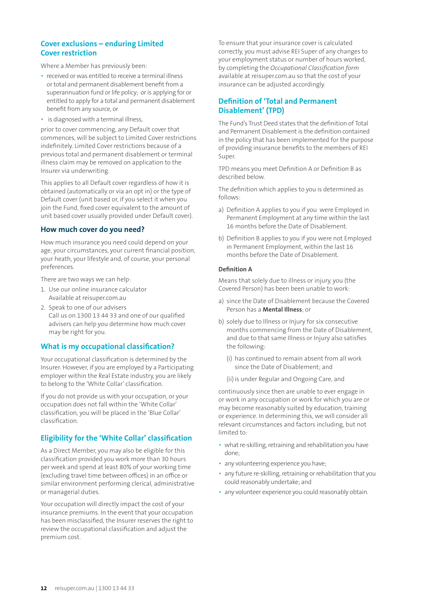#### **Cover exclusions – enduring Limited Cover restriction**

Where a Member has previously been:

- received or was entitled to receive a terminal illness or total and permanent disablement benefit from a superannuation fund or life policy; or is applying for or entitled to apply for a total and permanent disablement benefit from any source, or
- is diagnosed with a terminal illness,

prior to cover commencing, any Default cover that commences, will be subject to Limited Cover restrictions indefinitely. Limited Cover restrictions because of a previous total and permanent disablement or terminal illness claim may be removed on application to the Insurer via underwriting.

This applies to all Default cover regardless of how it is obtained (automatically or via an opt in) or the type of Default cover (unit based or, if you select it when you join the Fund, fixed cover equivalent to the amount of unit based cover usually provided under Default cover).

#### **How much cover do you need?**

How much insurance you need could depend on your age, your circumstances, your current financial position, your heath, your lifestyle and, of course, your personal preferences.

There are two ways we can help:

- 1. Use our online insurance calculator Available at reisuper.com.au
- 2. Speak to one of our advisers Call us on 1300 13 44 33 and one of our qualified advisers can help you determine how much cover may be right for you.

#### **What is my occupational classification?**

Your occupational classification is determined by the Insurer. However, if you are employed by a Participating employer within the Real Estate industry, you are likely to belong to the 'White Collar' classification.

If you do not provide us with your occupation, or your occupation does not fall within the 'White Collar' classification, you will be placed in the 'Blue Collar' classification.

#### **Eligibility for the 'White Collar' classification**

As a Direct Member, you may also be eligible for this classification provided you work more than 30 hours per week and spend at least 80% of your working time (excluding travel time between offices) in an office or similar environment performing clerical, administrative or managerial duties.

Your occupation will directly impact the cost of your insurance premiums. In the event that your occupation has been misclassified, the Insurer reserves the right to review the occupational classification and adjust the premium cost.

To ensure that your insurance cover is calculated correctly, you must advise REI Super of any changes to your employment status or number of hours worked, by completing the *Occupational Classification form* available at reisuper.com.au so that the cost of your insurance can be adjusted accordingly.

#### **Definition of 'Total and Permanent Disablement' (TPD)**

The Fund's Trust Deed states that the definition of Total and Permanent Disablement is the definition contained in the policy that has been implemented for the purpose of providing insurance benefits to the members of REI Super.

TPD means you meet Definition A or Definition B as described below.

The definition which applies to you is determined as follows:

- a) Definition A applies to you if you were Employed in Permanent Employment at any time within the last 16 months before the Date of Disablement.
- b) Definition B applies to you if you were not Employed in Permanent Employment, within the last 16 months before the Date of Disablement.

#### **Definition A**

Means that solely due to illness or injury, you (the Covered Person) has been been unable to work:

- a) since the Date of Disablement because the Covered Person has a **Mental Illness**; or
- b) solely due to Illness or Injury for six consecutive months commencing from the Date of Disablement, and due to that same Illness or Injury also satisfies the following:
	- (i) has continued to remain absent from all work since the Date of Disablement; and
	- (ii) is under Regular and Ongoing Care, and

continuously since then are unable to ever engage in or work in any occupation or work for which you are or may become reasonably suited by education, training or experience. In determining this, we will consider all relevant circumstances and factors including, but not limited to:

- what re-skilling, retraining and rehabilitation you have done;
- any volunteering experience you have;
- any future re-skilling, retraining or rehabilitation that you could reasonably undertake; and
- any volunteer experience you could reasonably obtain.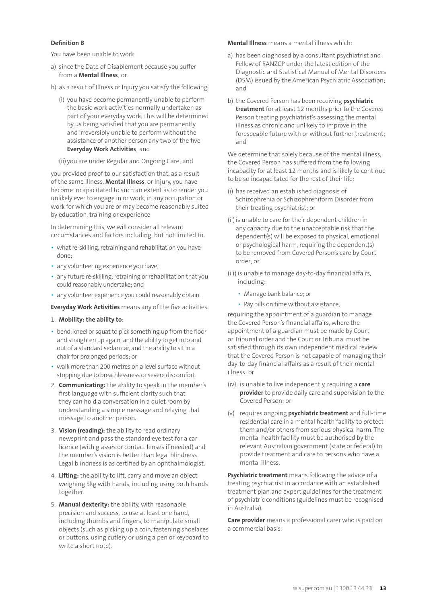#### **Definition B**

You have been unable to work:

- a) since the Date of Disablement because you suffer from a **Mental Illness**; or
- b) as a result of Illness or Injury you satisfy the following:
	- (i) you have become permanently unable to perform the basic work activities normally undertaken as part of your everyday work. This will be determined by us being satisfied that you are permanently and irreversibly unable to perform without the assistance of another person any two of the five **Everyday Work Activities**; and
	- (ii) you are under Regular and Ongoing Care; and

you provided proof to our satisfaction that, as a result of the same Illness, **Mental Illness**, or Injury, you have become incapacitated to such an extent as to render you unlikely ever to engage in or work, in any occupation or work for which you are or may become reasonably suited by education, training or experience

In determining this, we will consider all relevant circumstances and factors including, but not limited to:

- what re-skilling, retraining and rehabilitation you have done;
- any volunteering experience you have;
- any future re-skilling, retraining or rehabilitation that you could reasonably undertake; and
- any volunteer experience you could reasonably obtain.

**Everyday Work Activities** means any of the five activities:

- 1. **Mobility: the ability to**:
- bend, kneel or squat to pick something up from the floor and straighten up again, and the ability to get into and out of a standard sedan car, and the ability to sit in a chair for prolonged periods; or
- walk more than 200 metres on a level surface without stopping due to breathlessness or severe discomfort.
- 2. **Communicating:** the ability to speak in the member's first language with sufficient clarity such that they can hold a conversation in a quiet room by understanding a simple message and relaying that message to another person.
- 3. **Vision (reading):** the ability to read ordinary newsprint and pass the standard eye test for a car licence (with glasses or contact lenses if needed) and the member's vision is better than legal blindness. Legal blindness is as certified by an ophthalmologist.
- 4. **Lifting:** the ability to lift, carry and move an object weighing 5kg with hands, including using both hands together.
- 5. **Manual dexterity:** the ability, with reasonable precision and success, to use at least one hand, including thumbs and fingers, to manipulate small objects (such as picking up a coin, fastening shoelaces or buttons, using cutlery or using a pen or keyboard to write a short note).

**Mental Illness** means a mental illness which:

- a) has been diagnosed by a consultant psychiatrist and Fellow of RANZCP under the latest edition of the Diagnostic and Statistical Manual of Mental Disorders (DSM) issued by the American Psychiatric Association; and
- b) the Covered Person has been receiving **psychiatric treatment** for at least 12 months prior to the Covered Person treating psychiatrist's assessing the mental illness as chronic and unlikely to improve in the foreseeable future with or without further treatment; and

We determine that solely because of the mental illness, the Covered Person has suffered from the following incapacity for at least 12 months and is likely to continue to be so incapacitated for the rest of their life:

- (i) has received an established diagnosis of Schizophrenia or Schizophreniform Disorder from their treating psychiatrist; or
- (ii) is unable to care for their dependent children in any capacity due to the unacceptable risk that the dependent(s) will be exposed to physical, emotional or psychological harm, requiring the dependent(s) to be removed from Covered Person's care by Court order; or
- (iii) is unable to manage day-to-day financial affairs, including:
	- Manage bank balance; or
	- Pay bills on time without assistance,

requiring the appointment of a guardian to manage the Covered Person's financial affairs, where the appointment of a guardian must be made by Court or Tribunal order and the Court or Tribunal must be satisfied through its own independent medical review that the Covered Person is not capable of managing their day-to-day financial affairs as a result of their mental illness; or

- (iv) is unable to live independently, requiring a **care provider** to provide daily care and supervision to the Covered Person; or
- (v) requires ongoing **psychiatric treatment** and full-time residential care in a mental health facility to protect them and/or others from serious physical harm. The mental health facility must be authorised by the relevant Australian government (state or federal) to provide treatment and care to persons who have a mental illness.

**Psychiatric treatment** means following the advice of a treating psychiatrist in accordance with an established treatment plan and expert guidelines for the treatment of psychiatric conditions (guidelines must be recognised in Australia).

**Care provider** means a professional carer who is paid on a commercial basis.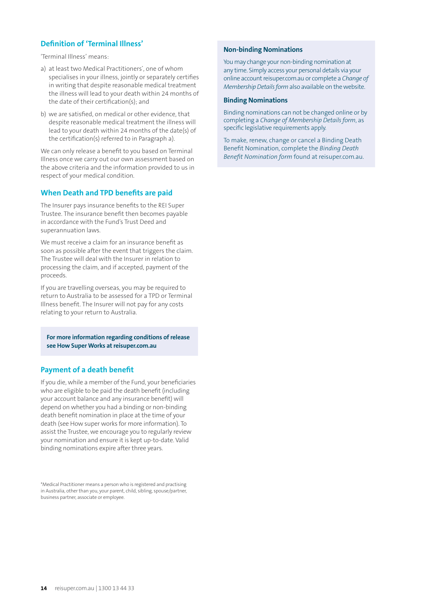### **Definition of 'Terminal Illness'**

'Terminal Illness' means:

- a) at least two Medical Practitioners', one of whom specialises in your illness, jointly or separately certifies in writing that despite reasonable medical treatment the illness will lead to your death within 24 months of the date of their certification(s); and
- b) we are satisfied, on medical or other evidence, that despite reasonable medical treatment the illness will lead to your death within 24 months of the date(s) of the certification(s) referred to in Paragraph a).

We can only release a benefit to you based on Terminal Illness once we carry out our own assessment based on the above criteria and the information provided to us in respect of your medical condition.

#### **When Death and TPD benefits are paid**

The Insurer pays insurance benefits to the REI Super Trustee. The insurance benefit then becomes payable in accordance with the Fund's Trust Deed and superannuation laws.

We must receive a claim for an insurance benefit as soon as possible after the event that triggers the claim. The Trustee will deal with the Insurer in relation to processing the claim, and if accepted, payment of the proceeds.

If you are travelling overseas, you may be required to return to Australia to be assessed for a TPD or Terminal Illness benefit. The Insurer will not pay for any costs relating to your return to Australia.

**For more information regarding conditions of release see How Super Works at reisuper.com.au**

#### **Payment of a death benefit**

If you die, while a member of the Fund, your beneficiaries who are eligible to be paid the death benefit (including your account balance and any insurance benefit) will depend on whether you had a binding or non-binding death benefit nomination in place at the time of your death (see How super works for more information). To assist the Trustee, we encourage you to regularly review your nomination and ensure it is kept up-to-date. Valid binding nominations expire after three years.

\*Medical Practitioner means a person who is registered and practising in Australia, other than you, your parent, child, sibling, spouse/partner, business partner, associate or employee.

#### **Non-binding Nominations**

You may change your non-binding nomination at any time. Simply access your personal details via your online account reisuper.com.au or complete a *Change of Membership Details form* also available on the website.

#### **Binding Nominations**

Binding nominations can not be changed online or by completing a *Change of Membership Details form*, as specific legislative requirements apply.

To make, renew, change or cancel a Binding Death Benefit Nomination, complete the *Binding Death Benefit Nomination form* found at reisuper.com.au.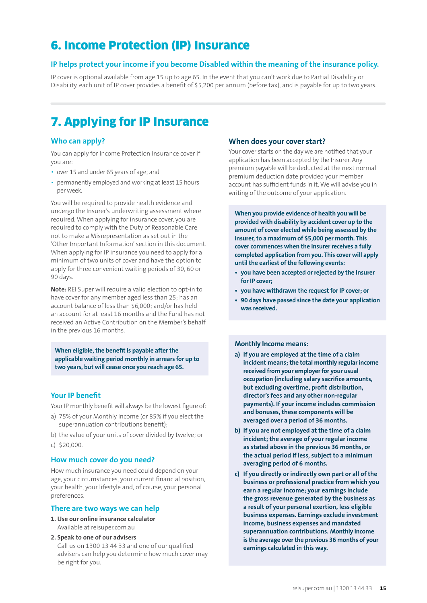# 6. Income Protection (IP) Insurance

#### **IP helps protect your income if you become Disabled within the meaning of the insurance policy.**

IP cover is optional available from age 15 up to age 65. In the event that you can't work due to Partial Disability or Disability, each unit of IP cover provides a benefit of \$5,200 per annum (before tax), and is payable for up to two years.

# 7. Applying for IP Insurance

#### **Who can apply?**

You can apply for Income Protection Insurance cover if you are:

- over 15 and under 65 years of age; and
- permanently employed and working at least 15 hours per week.

You will be required to provide health evidence and undergo the Insurer's underwriting assessment where required. When applying for insurance cover, you are required to comply with the Duty of Reasonable Care not to make a Misrepresentation as set out in the 'Other Important Information' section in this document. When applying for IP insurance you need to apply for a minimum of two units of cover and have the option to apply for three convenient waiting periods of 30, 60 or 90 days.

**Note:** REI Super will require a valid election to opt-in to have cover for any member aged less than 25; has an account balance of less than \$6,000; and/or has held an account for at least 16 months and the Fund has not received an Active Contribution on the Member's behalf in the previous 16 months.

**When eligible, the benefit is payable after the applicable waiting period monthly in arrears for up to two years, but will cease once you reach age 65.**

#### **Your IP benefit**

Your IP monthly benefit will always be the lowest figure of:

- a) 75% of your Monthly Income (or 85% if you elect the superannuation contributions benefit);
- b) the value of your units of cover divided by twelve; or c) \$20,000.

#### **How much cover do you need?**

How much insurance you need could depend on your age, your circumstances, your current financial position, your health, your lifestyle and, of course, your personal preferences.

#### **There are two ways we can help**

- **1. Use our online insurance calculator** Available at reisuper.com.au
- **2. Speak to one of our advisers** Call us on 1300 13 44 33 and one of our qualified advisers can help you determine how much cover may be right for you.

#### **When does your cover start?**

Your cover starts on the day we are notified that your application has been accepted by the Insurer. Any premium payable will be deducted at the next normal premium deduction date provided your member account has sufficient funds in it. We will advise you in writing of the outcome of your application.

**When you provide evidence of health you will be provided with disability by accident cover up to the amount of cover elected while being assessed by the Insurer, to a maximum of \$5,000 per month. This cover commences when the Insurer receives a fully completed application from you. This cover will apply until the earliest of the following events:**

- **• you have been accepted or rejected by the Insurer for IP cover;**
- **• you have withdrawn the request for IP cover; or**
- **• 90 days have passed since the date your application was received.**

#### **Monthly Income means:**

- **a) If you are employed at the time of a claim incident means; the total monthly regular income received from your employer for your usual occupation (including salary sacrifice amounts, but excluding overtime, profit distribution, director's fees and any other non-regular payments). If your income includes commission and bonuses, these components will be averaged over a period of 36 months.**
- **b) If you are not employed at the time of a claim incident; the average of your regular income as stated above in the previous 36 months, or the actual period if less, subject to a minimum averaging period of 6 months.**
- **c) If you directly or indirectly own part or all of the business or professional practice from which you earn a regular income; your earnings include the gross revenue generated by the business as a result of your personal exertion, less eligible business expenses. Earnings exclude investment income, business expenses and mandated superannuation contributions. Monthly Income is the average over the previous 36 months of your earnings calculated in this way.**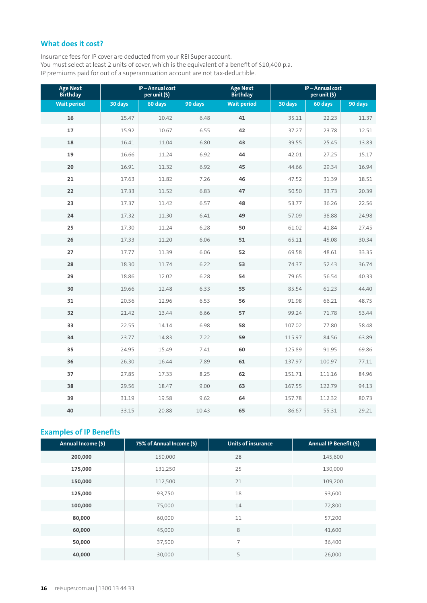### **What does it cost?**

Insurance fees for IP cover are deducted from your REI Super account. You must select at least 2 units of cover, which is the equivalent of a benefit of \$10,400 p.a. IP premiums paid for out of a superannuation account are not tax-deductible.

| <b>Age Next</b><br><b>Birthday</b> | IP-Annual cost<br>per unit (\$) |         | <b>Age Next</b><br><b>Birthday</b> |                    | IP-Annual cost<br>per unit (\$) |         |         |
|------------------------------------|---------------------------------|---------|------------------------------------|--------------------|---------------------------------|---------|---------|
| <b>Wait period</b>                 | 30 days                         | 60 days | 90 days                            | <b>Wait period</b> | 30 days                         | 60 days | 90 days |
| 16                                 | 15.47                           | 10.42   | 6.48                               | 41                 | 35.11                           | 22.23   | 11.37   |
| 17                                 | 15.92                           | 10.67   | 6.55                               | 42                 | 37.27                           | 23.78   | 12.51   |
| 18                                 | 16.41                           | 11.04   | 6.80                               | 43                 | 39.55                           | 25.45   | 13.83   |
| 19                                 | 16.66                           | 11.24   | 6.92                               | 44                 | 42.01                           | 27.25   | 15.17   |
| 20                                 | 16.91                           | 11.32   | 6.92                               | 45                 | 44.66                           | 29.34   | 16.94   |
| 21                                 | 17.63                           | 11.82   | 7.26                               | 46                 | 47.52                           | 31.39   | 18.51   |
| 22                                 | 17.33                           | 11.52   | 6.83                               | 47                 | 50.50                           | 33.73   | 20.39   |
| 23                                 | 17.37                           | 11.42   | 6.57                               | 48                 | 53.77                           | 36.26   | 22.56   |
| 24                                 | 17.32                           | 11.30   | 6.41                               | 49                 | 57.09                           | 38.88   | 24.98   |
| 25                                 | 17.30                           | 11.24   | 6.28                               | 50                 | 61.02                           | 41.84   | 27.45   |
| 26                                 | 17.33                           | 11.20   | 6.06                               | 51                 | 65.11                           | 45.08   | 30.34   |
| 27                                 | 17.77                           | 11.39   | 6.06                               | 52                 | 69.58                           | 48.61   | 33.35   |
| 28                                 | 18.30                           | 11.74   | 6.22                               | 53                 | 74.37                           | 52.43   | 36.74   |
| 29                                 | 18.86                           | 12.02   | 6.28                               | 54                 | 79.65                           | 56.54   | 40.33   |
| 30                                 | 19.66                           | 12.48   | 6.33                               | 55                 | 85.54                           | 61.23   | 44.40   |
| 31                                 | 20.56                           | 12.96   | 6.53                               | 56                 | 91.98                           | 66.21   | 48.75   |
| 32                                 | 21.42                           | 13.44   | 6.66                               | 57                 | 99.24                           | 71.78   | 53.44   |
| 33                                 | 22.55                           | 14.14   | 6.98                               | 58                 | 107.02                          | 77.80   | 58.48   |
| 34                                 | 23.77                           | 14.83   | 7.22                               | 59                 | 115.97                          | 84.56   | 63.89   |
| 35                                 | 24.95                           | 15.49   | 7.41                               | 60                 | 125.89                          | 91.95   | 69.86   |
| 36                                 | 26.30                           | 16.44   | 7.89                               | 61                 | 137.97                          | 100.97  | 77.11   |
| 37                                 | 27.85                           | 17.33   | 8.25                               | 62                 | 151.71                          | 111.16  | 84.96   |
| 38                                 | 29.56                           | 18.47   | 9.00                               | 63                 | 167.55                          | 122.79  | 94.13   |
| 39                                 | 31.19                           | 19.58   | 9.62                               | 64                 | 157.78                          | 112.32  | 80.73   |
| 40                                 | 33.15                           | 20.88   | 10.43                              | 65                 | 86.67                           | 55.31   | 29.21   |

## **Examples of IP Benefits**

| Annual Income (\$) | 75% of Annual Income (\$) | <b>Units of insurance</b> | Annual IP Benefit (\$) |
|--------------------|---------------------------|---------------------------|------------------------|
| 200,000            | 150,000                   | 28                        | 145,600                |
| 175,000            | 131,250                   | 25                        | 130,000                |
| 150,000            | 112,500                   | 21                        | 109,200                |
| 125,000            | 93,750                    | 18                        | 93,600                 |
| 100,000            | 75,000                    | 14                        | 72,800                 |
| 80,000             | 60,000                    | 11                        | 57,200                 |
| 60,000             | 45,000                    | 8                         | 41,600                 |
| 50,000             | 37,500                    | 7                         | 36,400                 |
| 40,000             | 30,000                    | 5                         | 26,000                 |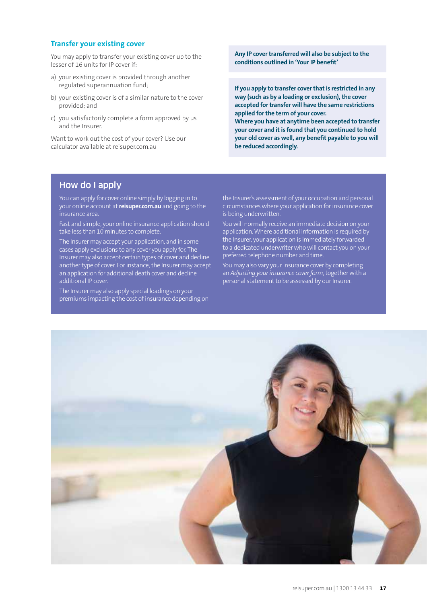#### **Transfer your existing cover**

You may apply to transfer your existing cover up to the lesser of 16 units for IP cover if:

- a) your existing cover is provided through another regulated superannuation fund;
- b) your existing cover is of a similar nature to the cover provided; and
- c) you satisfactorily complete a form approved by us and the Insurer.

Want to work out the cost of your cover? Use our calculator available at reisuper.com.au

**Any IP cover transferred will also be subject to the conditions outlined in 'Your IP benefit'**

**If you apply to transfer cover that is restricted in any way (such as by a loading or exclusion), the cover accepted for transfer will have the same restrictions applied for the term of your cover.**

**Where you have at anytime been accepted to transfer your cover and it is found that you continued to hold your old cover as well, any benefit payable to you will be reduced accordingly.**

### How do I apply

You can apply for cover online simply by logging in to your online account at **reisuper.com.au** and going to the insurance area.

Fast and simple, your online insurance application should take less than 10 minutes to complete.

The Insurer may accept your application, and in some cases apply exclusions to any cover you apply for. The Insurer may also accept certain types of cover and decline another type of cover. For instance, the Insurer may accept an application for additional death cover and decline additional IP cover.

The Insurer may also apply special loadings on your premiums impacting the cost of insurance depending on the Insurer's assessment of your occupation and personal circumstances where your application for insurance cover is being underwritten.

You will normally receive an immediate decision on your application. Where additional information is required by the Insurer, your application is immediately forwarded to a dedicated underwriter who will contact you on your preferred telephone number and time.

You may also vary your insurance cover by completing an *Adjusting your insurance cover form*, together with a personal statement to be assessed by our Insurer.

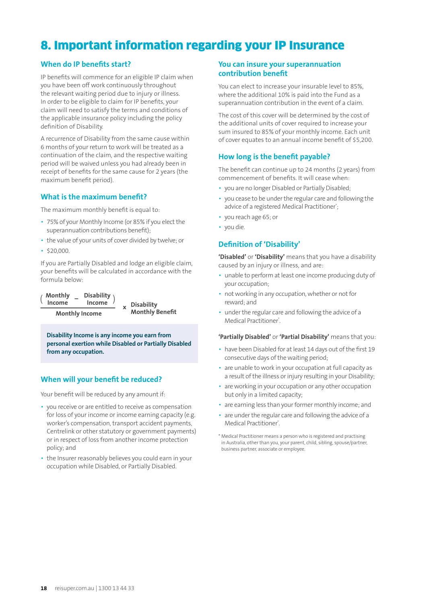# 8. Important information regarding your IP Insurance

#### **When do IP benefits start?**

IP benefits will commence for an eligible IP claim when you have been off work continuously throughout the relevant waiting period due to injury or illness. In order to be eligible to claim for IP benefits, your claim will need to satisfy the terms and conditions of the applicable insurance policy including the policy definition of Disability.

A recurrence of Disability from the same cause within 6 months of your return to work will be treated as a continuation of the claim, and the respective waiting period will be waived unless you had already been in receipt of benefits for the same cause for 2 years (the maximum benefit period).

#### **What is the maximum benefit?**

The maximum monthly benefit is equal to:

- 75% of your Monthly Income (or 85% if you elect the superannuation contributions benefit);
- the value of your units of cover divided by twelve; or
- $$20,000$

If you are Partially Disabled and lodge an eligible claim, your benefits will be calculated in accordance with the formula below:

**Monthly Income** ( (**Disability Income**  $\frac{1}{x}$  Disability **Monthly Benefit – <sup>x</sup> Monthly Income** 

**Disability Income is any income you earn from personal exertion while Disabled or Partially Disabled from any occupation.**

#### **When will your benefit be reduced?**

Your benefit will be reduced by any amount if:

- you receive or are entitled to receive as compensation for loss of your income or income earning capacity (e.g. worker's compensation, transport accident payments, Centrelink or other statutory or government payments) or in respect of loss from another income protection policy; and
- the Insurer reasonably believes you could earn in your occupation while Disabled, or Partially Disabled.

#### **You can insure your superannuation contribution benefit**

You can elect to increase your insurable level to 85%, where the additional 10% is paid into the Fund as a superannuation contribution in the event of a claim.

The cost of this cover will be determined by the cost of the additional units of cover required to increase your sum insured to 85% of your monthly income. Each unit of cover equates to an annual income benefit of \$5,200.

### **How long is the benefit payable?**

The benefit can continue up to 24 months (2 years) from commencement of benefits. It will cease when:

- you are no longer Disabled or Partially Disabled;
- you cease to be under the regular care and following the advice of a registered Medical Practitioner<sup>\*</sup>;
- you reach age 65; or
- you die.

#### **Definition of 'Disability'**

**'Disabled'** or **'Disability'** means that you have a disability caused by an injury or illness, and are:

- unable to perform at least one income producing duty of your occupation;
- not working in any occupation, whether or not for reward; and
- under the regular care and following the advice of a Medical Practitioner\*.

**'Partially Disabled'** or **'Partial Disability'** means that you:

- have been Disabled for at least 14 days out of the first 19 consecutive days of the waiting period;
- are unable to work in your occupation at full capacity as a result of the illness or injury resulting in your Disability;
- are working in your occupation or any other occupation but only in a limited capacity;
- are earning less than your former monthly income; and
- are under the regular care and following the advice of a Medical Practitioner\* .
- \* Medical Practitioner means a person who is registered and practising in Australia, other than you, your parent, child, sibling, spouse/partner, business partner, associate or employee.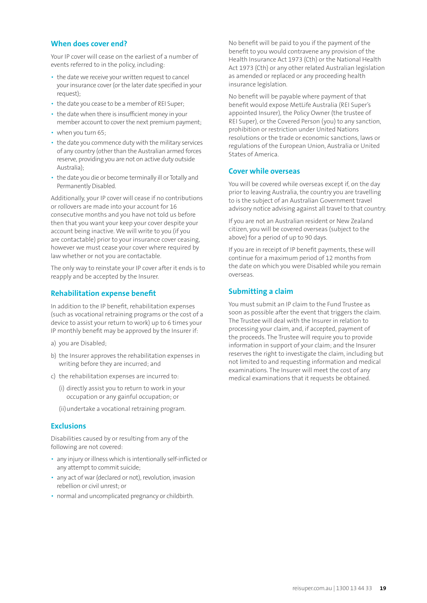#### **When does cover end?**

Your IP cover will cease on the earliest of a number of events referred to in the policy, including:

- the date we receive your written request to cancel your insurance cover (or the later date specified in your request);
- the date you cease to be a member of REI Super;
- the date when there is insufficient money in your member account to cover the next premium payment;
- when you turn 65;
- the date you commence duty with the military services of any country (other than the Australian armed forces reserve, providing you are not on active duty outside Australia);
- the date you die or become terminally ill or Totally and Permanently Disabled.

Additionally, your IP cover will cease if no contributions or rollovers are made into your account for 16 consecutive months and you have not told us before then that you want your keep your cover despite your account being inactive. We will write to you (if you are contactable) prior to your insurance cover ceasing, however we must cease your cover where required by law whether or not you are contactable.

The only way to reinstate your IP cover after it ends is to reapply and be accepted by the Insurer.

#### **Rehabilitation expense benefit**

In addition to the IP benefit, rehabilitation expenses (such as vocational retraining programs or the cost of a device to assist your return to work) up to 6 times your IP monthly benefit may be approved by the Insurer if:

- a) you are Disabled;
- b) the Insurer approves the rehabilitation expenses in writing before they are incurred; and
- c) the rehabilitation expenses are incurred to:
	- (i) directly assist you to return to work in your occupation or any gainful occupation; or
	- (ii) undertake a vocational retraining program.

#### **Exclusions**

Disabilities caused by or resulting from any of the following are not covered:

- any injury or illness which is intentionally self-inflicted or any attempt to commit suicide;
- any act of war (declared or not), revolution, invasion rebellion or civil unrest; or
- normal and uncomplicated pregnancy or childbirth.

No benefit will be paid to you if the payment of the benefit to you would contravene any provision of the Health Insurance Act 1973 (Cth) or the National Health Act 1973 (Cth) or any other related Australian legislation as amended or replaced or any proceeding health insurance legislation.

No benefit will be payable where payment of that benefit would expose MetLife Australia (REI Super's appointed Insurer), the Policy Owner (the trustee of REI Super), or the Covered Person (you) to any sanction, prohibition or restriction under United Nations resolutions or the trade or economic sanctions, laws or regulations of the European Union, Australia or United States of America.

#### **Cover while overseas**

You will be covered while overseas except if, on the day prior to leaving Australia, the country you are travelling to is the subject of an Australian Government travel advisory notice advising against all travel to that country.

If you are not an Australian resident or New Zealand citizen, you will be covered overseas (subject to the above) for a period of up to 90 days.

If you are in receipt of IP benefit payments, these will continue for a maximum period of 12 months from the date on which you were Disabled while you remain overseas.

#### **Submitting a claim**

You must submit an IP claim to the Fund Trustee as soon as possible after the event that triggers the claim. The Trustee will deal with the Insurer in relation to processing your claim, and, if accepted, payment of the proceeds. The Trustee will require you to provide information in support of your claim; and the Insurer reserves the right to investigate the claim, including but not limited to and requesting information and medical examinations. The Insurer will meet the cost of any medical examinations that it requests be obtained.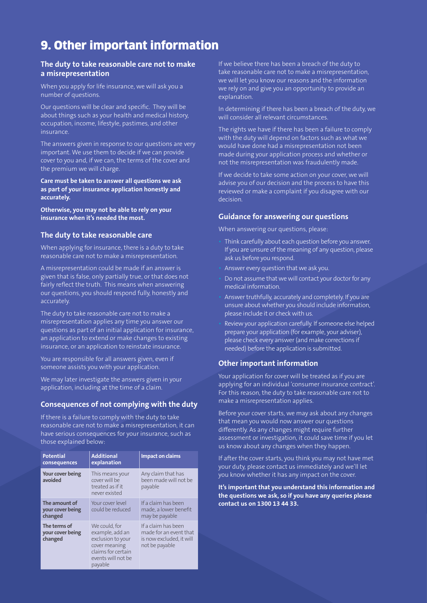# 9. Other important information

#### **The duty to take reasonable care not to make a misrepresentation**

When you apply for life insurance, we will ask you a number of questions.

Our questions will be clear and specific. They will be about things such as your health and medical history, occupation, income, lifestyle, pastimes, and other insurance.

The answers given in response to our questions are very important. We use them to decide if we can provide cover to you and, if we can, the terms of the cover and the premium we will charge.

**Care must be taken to answer all questions we ask as part of your insurance application honestly and accurately.**

**Otherwise, you may not be able to rely on your insurance when it's needed the most.**

#### **The duty to take reasonable care**

When applying for insurance, there is a duty to take reasonable care not to make a misrepresentation.

A misrepresentation could be made if an answer is given that is false, only partially true, or that does not fairly reflect the truth. This means when answering our questions, you should respond fully, honestly and accurately.

The duty to take reasonable care not to make a misrepresentation applies any time you answer our questions as part of an initial application for insurance, an application to extend or make changes to existing insurance, or an application to reinstate insurance.

You are responsible for all answers given, even if someone assists you with your application.

We may later investigate the answers given in your application, including at the time of a claim.

#### **Consequences of not complying with the duty**

If there is a failure to comply with the duty to take reasonable care not to make a misrepresentation, it can have serious consequences for your insurance, such as those explained below:

| <b>Potential</b><br>consequences             | <b>Additional</b><br>explanation                                                                                              | <b>Impact on claims</b>                                                                     |
|----------------------------------------------|-------------------------------------------------------------------------------------------------------------------------------|---------------------------------------------------------------------------------------------|
| Your cover being<br>avoided                  | This means your<br>cover will be<br>treated as if it<br>never existed                                                         | Any claim that has<br>been made will not be<br>payable                                      |
| The amount of<br>your cover being<br>changed | Your cover level<br>could be reduced                                                                                          | If a claim has been<br>made, a lower benefit<br>may be payable                              |
| The terms of<br>your cover being<br>changed  | We could, for<br>example, add an<br>exclusion to your<br>cover meaning<br>claims for certain<br>events will not be<br>payable | If a claim has been<br>made for an event that<br>is now excluded, it will<br>not be payable |

If we believe there has been a breach of the duty to take reasonable care not to make a misrepresentation, we will let you know our reasons and the information we rely on and give you an opportunity to provide an explanation.

In determining if there has been a breach of the duty, we will consider all relevant circumstances.

The rights we have if there has been a failure to comply with the duty will depend on factors such as what we would have done had a misrepresentation not been made during your application process and whether or not the misrepresentation was fraudulently made.

If we decide to take some action on your cover, we will advise you of our decision and the process to have this reviewed or make a complaint if you disagree with our decision.

#### **Guidance for answering our questions**

When answering our questions, please:

- Think carefully about each question before you answer. If you are unsure of the meaning of any question, please ask us before you respond.
- Answer every question that we ask you.
- Do not assume that we will contact your doctor for any medical information.
- Answer truthfully, accurately and completely. If you are unsure about whether you should include information, please include it or check with us.
- Review your application carefully. If someone else helped prepare your application (for example, your adviser), please check every answer (and make corrections if needed) before the application is submitted.

#### **Other important information**

Your application for cover will be treated as if you are applying for an individual 'consumer insurance contract'. For this reason, the duty to take reasonable care not to make a misrepresentation applies.

Before your cover starts, we may ask about any changes that mean you would now answer our questions differently. As any changes might require further assessment or investigation, it could save time if you let us know about any changes when they happen.

If after the cover starts, you think you may not have met your duty, please contact us immediately and we'll let you know whether it has any impact on the cover.

**It's important that you understand this information and the questions we ask, so if you have any queries please contact us on 1300 13 44 33.**